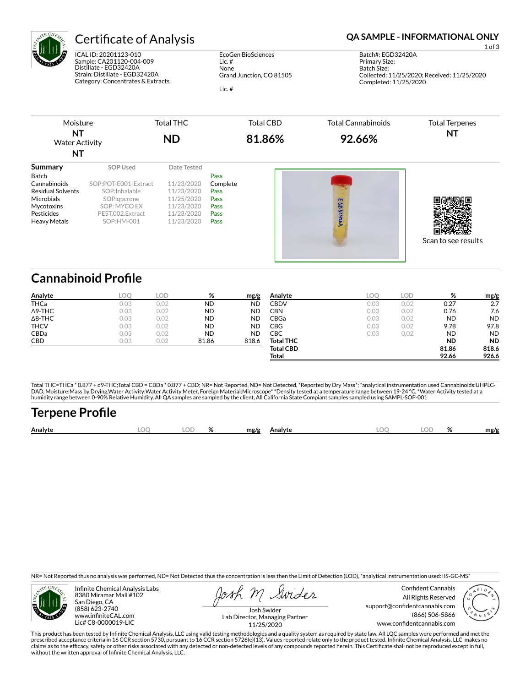

## **Certificate of Analysis <b>Certificate of Analysis QA SAMPLE - INFORMATIONAL ONLY**

ICAL ID: 20201123-010 Sample: CA201120-004-009 Distillate - EGD32420A Strain: Distillate - EGD32420A Category: Concentrates & Extracts

EcoGen BioSciences Lic. # None Grand Junction, CO 81505 Lic. #

1 of 3 Batch#: EGD32420A Primary Size: Batch Size: Collected: 11/25/2020; Received: 11/25/2020 Completed: 11/25/2020

Moisture **NT** Water Activity **NT** Total THC **ND** Total CBD **81.86%** Total Cannabinoids **92.66%** Total Terpenes **NT Summary SOP Used** Date Tested

| <b>Batch</b>             |                      |            | Pass     |
|--------------------------|----------------------|------------|----------|
| Cannabinoids             | SOP:POT-E001-Extract | 11/23/2020 | Complete |
| <b>Residual Solvents</b> | SOP:Inhalable        | 11/23/2020 | Pass     |
| <b>Microbials</b>        | SOP:gpcrone          | 11/25/2020 | Pass     |
| Mycotoxins               | SOP: MYCO EX         | 11/23/2020 | Pass     |
| Pesticides               | PEST.002.Extract     | 11/23/2020 | Pass     |
| <b>Heavy Metals</b>      | SOP:HM-001           | 11/23/2020 | Pass     |





## **Cannabinoid Profile**

| Analyte        | LOO  | LOD  | %         | mg/g      | Analyte          | <b>LOC</b> | LOD  | %         | mg/g      |
|----------------|------|------|-----------|-----------|------------------|------------|------|-----------|-----------|
| THCa           | 0.03 | 0.02 | <b>ND</b> | <b>ND</b> | <b>CBDV</b>      | 0.03       | 0.02 | 0.27      | 2.7       |
| $\Delta$ 9-THC | 0.03 | 0.02 | <b>ND</b> | <b>ND</b> | CBN              | 0.03       | 0.02 | 0.76      | 7.6       |
| $\Delta$ 8-THC | 0.03 | 0.02 | <b>ND</b> | <b>ND</b> | CBGa             | 0.03       | 0.02 | <b>ND</b> | <b>ND</b> |
| <b>THCV</b>    | 0.03 | 0.02 | <b>ND</b> | <b>ND</b> | CBG              | 0.03       | 0.02 | 9.78      | 97.8      |
| CBDa           | 0.03 | 0.02 | <b>ND</b> | <b>ND</b> | СВС              | 0.03       | 0.02 | <b>ND</b> | <b>ND</b> |
| CBD            | 0.03 | 0.02 | 81.86     | 818.6     | <b>Total THC</b> |            |      | <b>ND</b> | <b>ND</b> |
|                |      |      |           |           | <b>Total CBD</b> |            |      | 81.86     | 818.6     |
|                |      |      |           |           | Total            |            |      | 92.66     | 926.6     |

Total THC=THCa \* 0.877 + d9-THC;Total CBD = CBDa \* 0.877 + CBD; NR= Not Reported, ND= Not Detected, \*Reported by Dry Mass\*; \*analytical instrumentation used Cannabinoids:UHPLC-DAD, Moisture:Mass by Drying,Water Activity:Water Activity Meter, Foreign Material:Microscope\* \*Density tested at a temperature range between 19-24 °C, \*Water Activity tested at a<br>humidity range between 0-90% Relative Humi

## **Terpene Profile**

|  | Analyte | . OC<br> | OГ | $\cdot$<br>$\sqrt{2}$ | mg/g | Analyte | ~ |  | 01 | mg/g |
|--|---------|----------|----|-----------------------|------|---------|---|--|----|------|
|--|---------|----------|----|-----------------------|------|---------|---|--|----|------|

NR= Not Reported thus no analysis was performed, ND= Not Detected thus the concentration is less then the Limit of Detection (LOD), \*analytical instrumentation used:HS-GC-MS\*



Infinite Chemical Analysis Labs 8380 Miramar Mall #102 San Diego, CA (858) 623-2740 www.infiniteCAL.com Lic# C8-0000019-LIC

Swider

Confident Cannabis All Rights Reserved support@confidentcannabis.com (866) 506-5866 www.confidentcannabis.com



Josh Swider Lab Director, Managing Partner 11/25/2020

This product has been tested by Infinite Chemical Analysis, LLC using valid testing methodologies and a quality system as required by state law. All LQC samples were performed and met the prescribed acceptance criteria in 16 CCR section 5730, pursuant to 16 CCR section 5726(e)(13). Values reported relate only to the product tested. Infinite Chemical Analysis, LLC makes no<br>claims as to the efficacy, safety o without the written approval of Infinite Chemical Analysis, LLC.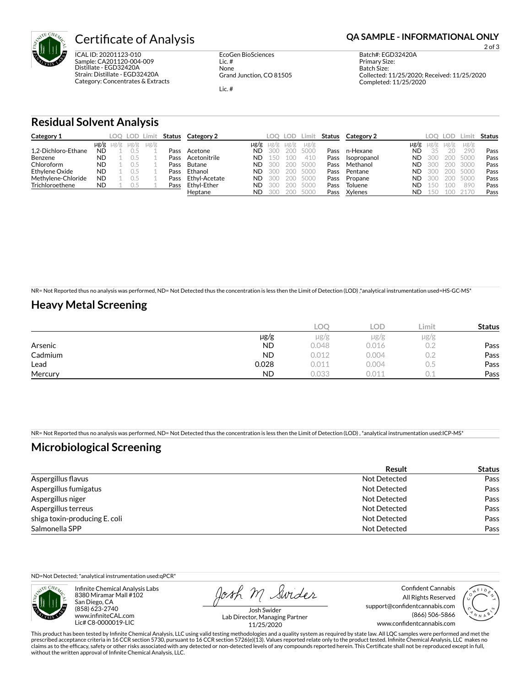

ICAL ID: 20201123-010 Sample: CA201120-004-009 Distillate - EGD32420A Strain: Distillate - EGD32420A Category: Concentrates & Extracts

EcoGen BioSciences Lic. # None Grand Junction, CO 81505

Lic. #

## **Certificate of Analysis <b>Certificate of Analysis QA SAMPLE - INFORMATIONAL ONLY**

2 of 3

Primary Size: Batch Size: Collected: 11/25/2020; Received: 11/25/2020 Completed: 11/25/2020

Batch#: EGD32420A

#### **Residual Solvent Analysis**

| Category 1          |           |                     | LOO LOD I | Limit     | Status | Category 2    |           | LOO  | LOD. | Limit     | Status | Category 2  |      | LOO.      | LOD.   | Limit.    | Status |
|---------------------|-----------|---------------------|-----------|-----------|--------|---------------|-----------|------|------|-----------|--------|-------------|------|-----------|--------|-----------|--------|
|                     |           | $\mu$ g/g $\mu$ g/g | $\mu$ g/g | $\mu$ g/g |        |               | $\mu$ g/g | ug/g | ug/g | $\mu$ g/g |        |             | µg/g | $\mu$ g/g | µg/g   | $\mu$ g/g |        |
| 1.2-Dichloro-Ethane | <b>ND</b> |                     |           |           | Pass   | Acetone       | ND        | 300  | 200  | 5000      | Pass   | n-Hexane    | ND   | 35        | $20 -$ | 290       | Pass   |
| Benzene             | <b>ND</b> |                     |           |           | Pass   | Acetonitrile  | ND        | 150  | 100  | 410       | Pass   | Isopropanol | ND   | 300       | 200    | 5000      | Pass   |
| Chloroform          | <b>ND</b> |                     |           |           | Pass   | Butane        | <b>ND</b> | 300  | 200  | 5000      | Pass   | Methanol    | ND   | 300       | 200    | 3000      | Pass   |
| Ethylene Oxide      | <b>ND</b> |                     |           |           | Pass   | Ethanol       | <b>ND</b> | 300  | 200  | 5000      | Pass   | Pentane     | ND   | 300       | 200    | 5000      | Pass   |
| Methylene-Chloride  | <b>ND</b> |                     |           |           | Pass   | Ethyl-Acetate | ND        | 300  | 200  | 5000      | Pass   | Propane     | ND   | 300       | 200    | 5000      | Pass   |
| Trichloroethene     | <b>ND</b> |                     | U.5       |           | Pass   | Ethvl-Ether   | ND        | 300  | 200  | 5000      | Pass   | Toluene     | ND   | 150       | 100    | 890       | Pass   |
|                     |           |                     |           |           |        | Heptane       | ND        | 300  | 200  | 5000      | Pass   | Xylenes     | ND   | 150       | 100    | 2170      | Pass   |

NR= Not Reported thus no analysis was performed, ND= Not Detected thus the concentration is less then the Limit of Detection (LOD) ,\*analytical instrumentation used=HS-GC-MS\*

### **Heavy Metal Screening**

|         |           | C     | LOD.  | Limit     | <b>Status</b> |
|---------|-----------|-------|-------|-----------|---------------|
|         | $\mu$ g/g | µg/g  | µg/g  | $\mu$ g/g |               |
| Arsenic | <b>ND</b> | 0.048 | 0.016 |           | Pass          |
| Cadmium | <b>ND</b> | 0.012 | 0.004 |           | Pass          |
| Lead    | 0.028     | 0.011 | 0.004 | U.5       | Pass          |
| Mercury | <b>ND</b> | 0.033 | 0.011 |           | Pass          |

NR= Not Reported thus no analysis was performed, ND= Not Detected thus the concentration is less then the Limit of Detection (LOD) , \*analytical instrumentation used:ICP-MS\*

### **Microbiological Screening**

|                               | Result       | <b>Status</b> |
|-------------------------------|--------------|---------------|
| Aspergillus flavus            | Not Detected | Pass          |
| Aspergillus fumigatus         | Not Detected | Pass          |
| Aspergillus niger             | Not Detected | Pass          |
| Aspergillus terreus           | Not Detected | Pass          |
| shiga toxin-producing E. coli | Not Detected | Pass          |
| Salmonella SPP                | Not Detected | Pass          |

ND=Not Detected; \*analytical instrumentation used:qPCR\*



Infinite Chemical Analysis Labs 8380 Miramar Mall #102 San Diego, CA (858) 623-2740 www.infiniteCAL.com Lic# C8-0000019-LIC

Josh M Swider

Confident Cannabis All Rights Reserved support@confidentcannabis.com (866) 506-5866 www.confidentcannabis.com



Josh Swider Lab Director, Managing Partner 11/25/2020

This product has been tested by Infinite Chemical Analysis, LLC using valid testing methodologies and a quality system as required by state law. All LQC samples were performed and met the prescribed acceptance criteria in 16 CCR section 5730, pursuant to 16 CCR section 5726(e)(13). Values reported relate only to the product tested. Infinite Chemical Analysis, LLC makes no<br>claims as to the efficacy, safety o without the written approval of Infinite Chemical Analysis, LLC.